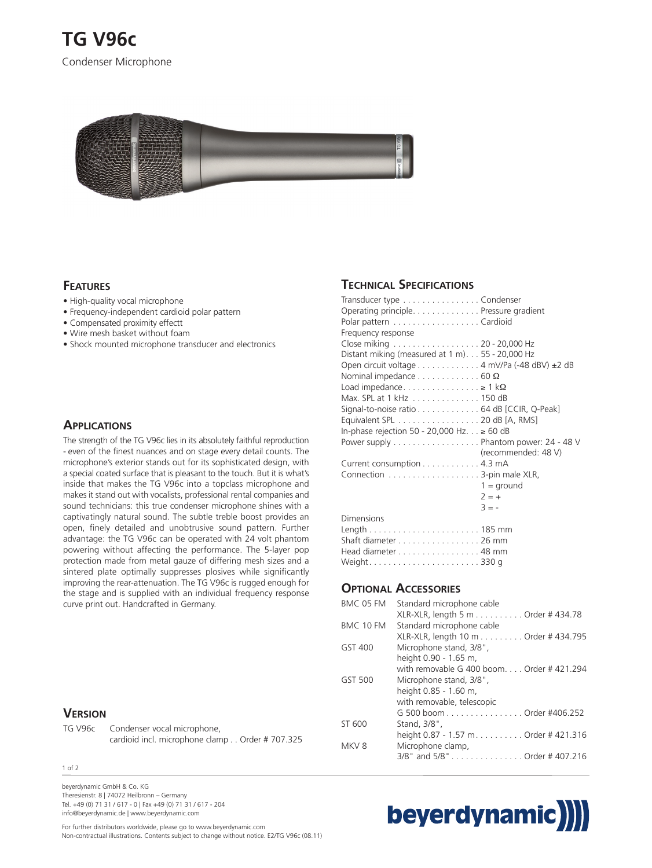

## **FEATURES**

- High-quality vocal microphone
- Frequency-independent cardioid polar pattern
- Compensated proximity effectt
- Wire mesh basket without foam
- Shock mounted microphone transducer and electronics

#### **APPLICATIONS**

The strength of the TG V96c lies in its absolutely faithful reproduction - even of the finest nuances and on stage every detail counts. The microphone's exterior stands out for its sophisticated design, with a special coated surface that is pleasant to the touch. But it is what's inside that makes the TG V96c into a topclass microphone and makes it stand out with vocalists, professional rental companies and sound technicians: this true condenser microphone shines with a captivatingly natural sound. The subtle treble boost provides an open, finely detailed and unobtrusive sound pattern. Further advantage: the TG V96c can be operated with 24 volt phantom powering without affecting the performance. The 5-layer pop protection made from metal gauze of differing mesh sizes and a sintered plate optimally suppresses plosives while significantly improving the rear-attenuation. The TG V96c is rugged enough for the stage and is supplied with an individual frequency response curve print out. Handcrafted in Germany.

### **VERSION**

TG V96c Condenser vocal microphone, cardioid incl. microphone clamp . . Order # 707.325

#### 1 of 2

beyerdynamic GmbH & Co. KG Theresienstr. 8 | 74072 Heilbronn – Germany Tel. +49 (0) 71 31 / 617 - 0 | Fax +49 (0) 71 31 / 617 - 204 info@beyerdynamic.de | www.beyerdynamic.com

#### Head diameter . . . . . . . . . . . . . . . . . 48 mm Weight. . . . . . . . . . . . . . . . . . . . . . . 330 g

#### **OPTIONAL ACCESSORIES**

Dimensions

**TECHNICAL SPECIFICATIONS**

Frequency response

Transducer type . . . . . . . . . . . . . . . . Condenser Operating principle. . . . . . . . . . . . . . Pressure gradient Polar pattern . . . . . . . . . . . . . . . . . . Cardioid

Close miking . . . . . . . . . . . . . . . . . . 20 - 20,000 Hz Distant miking (measured at 1 m). . . 55 - 20,000 Hz

Nominal impedance . . . . . . . . . . . . . 60 Ω Load impedance. . . . . . . . . . . . . . .  $\geq 1$  k $\Omega$ Max. SPL at 1 kHz . . . . . . . . . . . . . . 150 dB

Current consumption . . . . . . . . . . . . 4.3 mA Connection . . . . . . . . . . . . . . . . . . . 3-pin male XLR,

Length . . . . . . . . . . . . . . . . . . . . . . . 185 mm Shaft diameter . . . . . . . . . . . . . . . . . 26 mm

Open circuit voltage . . . . . . . . . . . . 4 mV/Pa (-48 dBV) ±2 dB

Signal-to-noise ratio . . . . . . . . . . . . . 64 dB [CCIR, Q-Peak] Equivalent SPL . . . . . . . . . . . . . . . . . 20 dB [A, RMS] In-phase rejection 50 - 20,000 Hz. . . ≥ 60 dB

Power supply . . . . . . . . . . . . . . . . . . Phantom power: 24 - 48 V

(recommended: 48 V)

 $1 =$  ground  $2 = +$  $3 = -$ 

| BMC 05 FM        | Standard microphone cable                 |
|------------------|-------------------------------------------|
|                  | XLR-XLR, length 5 m Order # 434.78        |
| BMC 10 FM        | Standard microphone cable                 |
|                  | XLR-XLR, length 10 m Order # 434.795      |
| GST 400          | Microphone stand, 3/8",                   |
|                  | height 0.90 - 1.65 m,                     |
|                  | with removable G 400 boom. Order #421.294 |
| GST 500          | Microphone stand, 3/8",                   |
|                  | height 0.85 - 1.60 m,                     |
|                  | with removable, telescopic                |
|                  | G 500 boom Order #406.252                 |
| ST 600           | Stand, 3/8",                              |
|                  | height 0.87 - 1.57 m. Order # 421.316     |
| MKV <sub>8</sub> | Microphone clamp,                         |
|                  | 3/8" and 5/8"Order #407.216               |
|                  |                                           |

# beyerdynamic)

For further distributors worldwide, please go to www.beyerdynamic.com Non-contractual illustrations. Contents subject to change without notice. E2/TG V96c (08.11)